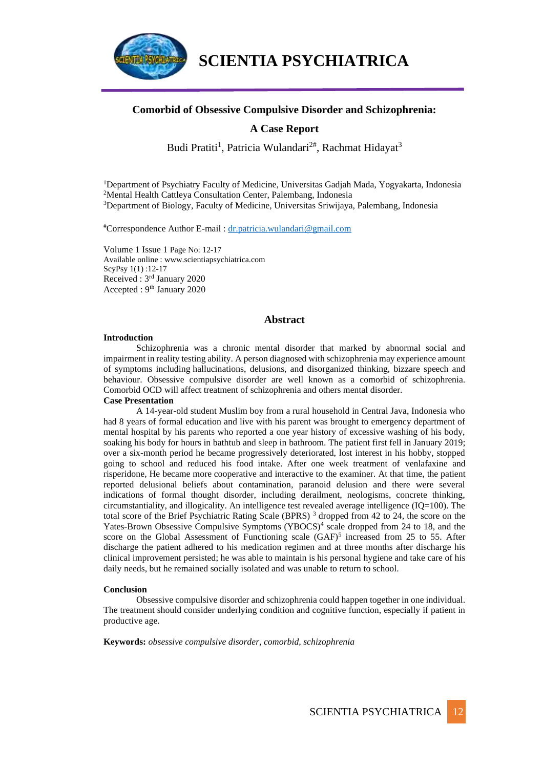

## **Comorbid of Obsessive Compulsive Disorder and Schizophrenia:**

# **A Case Report**

Budi Pratiti<sup>1</sup>, Patricia Wulandari<sup>2#</sup>, Rachmat Hidayat<sup>3</sup>

<sup>1</sup>Department of Psychiatry Faculty of Medicine, Universitas Gadjah Mada, Yogyakarta, Indonesia <sup>2</sup>Mental Health Cattleya Consultation Center, Palembang, Indonesia <sup>3</sup>Department of Biology, Faculty of Medicine, Universitas Sriwijaya, Palembang, Indonesia

#Correspondence Author E-mail : [dr.patricia.wulandari@gmail.com](mailto:dr.patricia.wulandari@gmail.com)

Volume 1 Issue 1 Page No: 12-17 Available online : www.scientiapsychiatrica.com ScyPsy 1(1) :12-17 Received : 3rd January 2020 Accepted : 9<sup>th</sup> January 2020

#### **Abstract**

#### **Introduction**

Schizophrenia was a chronic mental disorder that marked by abnormal social and impairment in reality testing ability. A person diagnosed with schizophrenia may experience amount of symptoms including [hallucinations,](https://www.verywellmind.com/what-are-hallucinations-378819) delusions, and disorganized thinking, bizzare speech and behaviour. Obsessive compulsive disorder are well known as a comorbid of schizophrenia. Comorbid OCD will affect treatment of schizophrenia and others mental disorder. **Case Presentation**

A 14-year-old student Muslim boy from a rural household in Central Java, Indonesia who had 8 years of formal education and live with his parent was brought to emergency department of mental hospital by his parents who reported a one year history of excessive washing of his body, soaking his body for hours in bathtub and sleep in bathroom. The patient first fell in January 2019; over a six-month period he became progressively deteriorated, lost interest in his hobby, stopped going to school and reduced his food intake. After one week treatment of venlafaxine and risperidone, He became more cooperative and interactive to the examiner. At that time, the patient reported delusional beliefs about contamination, paranoid delusion and there were several indications of formal thought disorder, including derailment, neologisms, concrete thinking, circumstantiality, and illogicality. An intelligence test revealed average intelligence (IQ=100). The total score of the Brief Psychiatric Rating Scale (BPRS) <sup>3</sup> dropped from 42 to 24, the score on the Yates-Brown Obsessive Compulsive Symptoms (YBOCS)<sup>4</sup> scale dropped from 24 to 18, and the score on the Global Assessment of Functioning scale  $(GAF)^5$  increased from 25 to 55. After discharge the patient adhered to his medication regimen and at three months after discharge his clinical improvement persisted; he was able to maintain is his personal hygiene and take care of his daily needs, but he remained socially isolated and was unable to return to school.

#### **Conclusion**

Obsessive compulsive disorder and schizophrenia could happen together in one individual. The treatment should consider underlying condition and cognitive function, especially if patient in productive age.

**Keywords:** *obsessive compulsive disorder, comorbid, schizophrenia*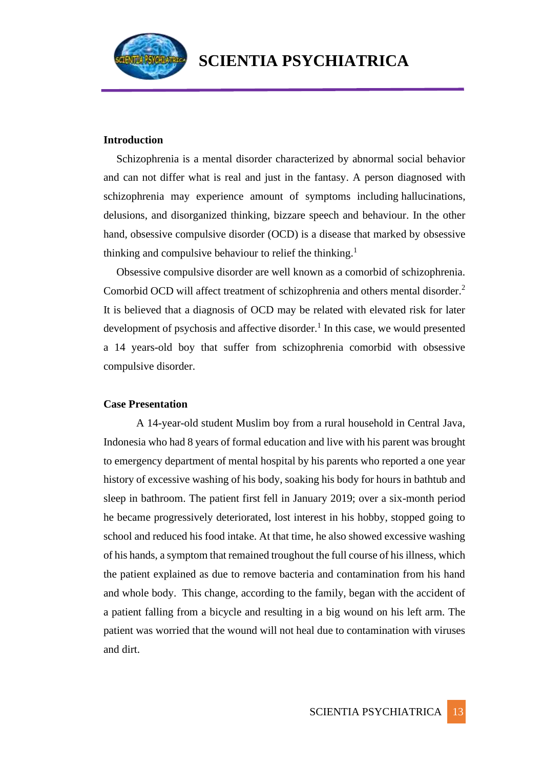

### **Introduction**

Schizophrenia is a mental disorder characterized by abnormal social behavior and can not differ what is real and just in the fantasy. A person diagnosed with schizophrenia may experience amount of symptoms including [hallucinations,](https://www.verywellmind.com/what-are-hallucinations-378819) delusions, and disorganized thinking, bizzare speech and behaviour. In the other hand, obsessive compulsive disorder (OCD) is a disease that marked by obsessive thinking and compulsive behaviour to relief the thinking.<sup>1</sup>

Obsessive compulsive disorder are well known as a comorbid of schizophrenia. Comorbid OCD will affect treatment of schizophrenia and others mental disorder.<sup>2</sup> It is believed that a diagnosis of OCD may be related with elevated risk for later development of psychosis and affective disorder.<sup>1</sup> In this case, we would presented a 14 years-old boy that suffer from schizophrenia comorbid with obsessive compulsive disorder.

### **Case Presentation**

A 14-year-old student Muslim boy from a rural household in Central Java, Indonesia who had 8 years of formal education and live with his parent was brought to emergency department of mental hospital by his parents who reported a one year history of excessive washing of his body, soaking his body for hours in bathtub and sleep in bathroom. The patient first fell in January 2019; over a six-month period he became progressively deteriorated, lost interest in his hobby, stopped going to school and reduced his food intake. At that time, he also showed excessive washing of his hands, a symptom that remained troughout the full course of his illness, which the patient explained as due to remove bacteria and contamination from his hand and whole body. This change, according to the family, began with the accident of a patient falling from a bicycle and resulting in a big wound on his left arm. The patient was worried that the wound will not heal due to contamination with viruses and dirt.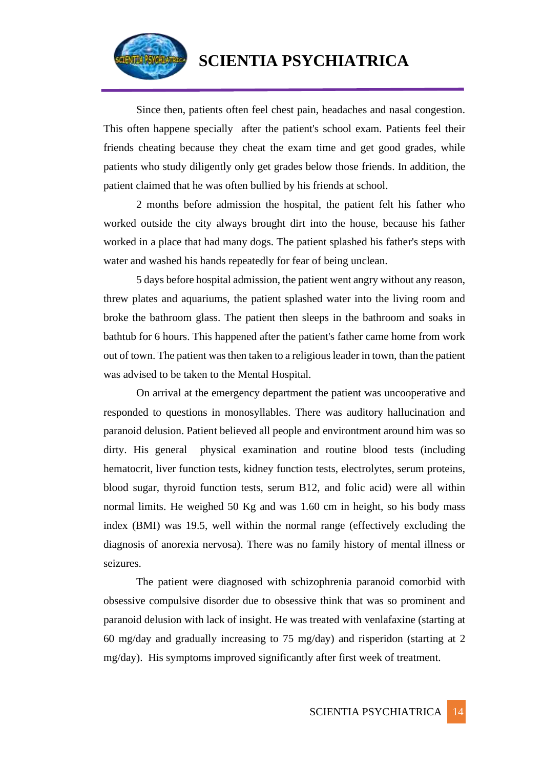

Since then, patients often feel chest pain, headaches and nasal congestion. This often happene specially after the patient's school exam. Patients feel their friends cheating because they cheat the exam time and get good grades, while patients who study diligently only get grades below those friends. In addition, the patient claimed that he was often bullied by his friends at school.

2 months before admission the hospital, the patient felt his father who worked outside the city always brought dirt into the house, because his father worked in a place that had many dogs. The patient splashed his father's steps with water and washed his hands repeatedly for fear of being unclean.

5 days before hospital admission, the patient went angry without any reason, threw plates and aquariums, the patient splashed water into the living room and broke the bathroom glass. The patient then sleeps in the bathroom and soaks in bathtub for 6 hours. This happened after the patient's father came home from work out of town. The patient was then taken to a religious leader in town, than the patient was advised to be taken to the Mental Hospital.

On arrival at the emergency department the patient was uncooperative and responded to questions in monosyllables. There was auditory hallucination and paranoid delusion. Patient believed all people and environtment around him was so dirty. His general physical examination and routine blood tests (including hematocrit, liver function tests, kidney function tests, electrolytes, serum proteins, blood sugar, thyroid function tests, serum B12, and folic acid) were all within normal limits. He weighed 50 Kg and was 1.60 cm in height, so his body mass index (BMI) was 19.5, well within the normal range (effectively excluding the diagnosis of anorexia nervosa). There was no family history of mental illness or seizures.

The patient were diagnosed with schizophrenia paranoid comorbid with obsessive compulsive disorder due to obsessive think that was so prominent and paranoid delusion with lack of insight. He was treated with venlafaxine (starting at 60 mg/day and gradually increasing to 75 mg/day) and risperidon (starting at 2 mg/day). His symptoms improved significantly after first week of treatment.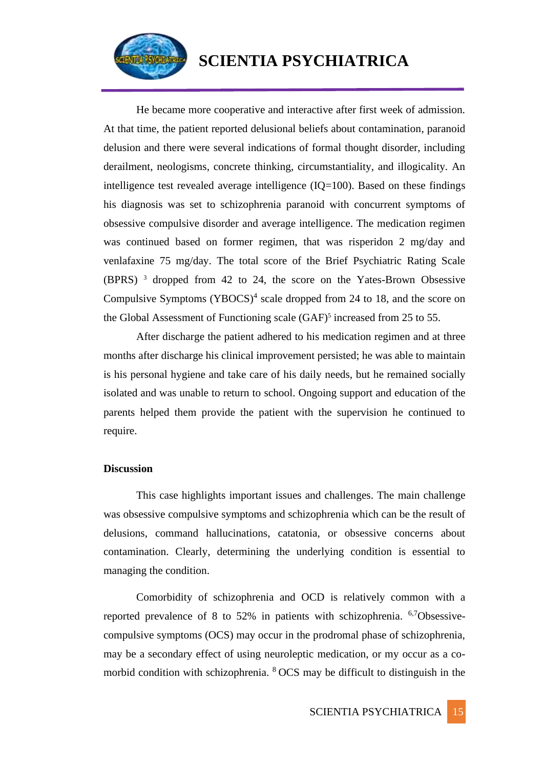

He became more cooperative and interactive after first week of admission. At that time, the patient reported delusional beliefs about contamination, paranoid delusion and there were several indications of formal thought disorder, including derailment, neologisms, concrete thinking, circumstantiality, and illogicality. An intelligence test revealed average intelligence  $(IQ=100)$ . Based on these findings his diagnosis was set to schizophrenia paranoid with concurrent symptoms of obsessive compulsive disorder and average intelligence. The medication regimen was continued based on former regimen, that was risperidon 2 mg/day and venlafaxine 75 mg/day. The total score of the Brief Psychiatric Rating Scale (BPRS) <sup>3</sup> dropped from 42 to 24, the score on the Yates-Brown Obsessive Compulsive Symptoms  $(YBOCS)^4$  scale dropped from 24 to 18, and the score on the Global Assessment of Functioning scale (GAF)<sup>5</sup> increased from 25 to 55.

After discharge the patient adhered to his medication regimen and at three months after discharge his clinical improvement persisted; he was able to maintain is his personal hygiene and take care of his daily needs, but he remained socially isolated and was unable to return to school. Ongoing support and education of the parents helped them provide the patient with the supervision he continued to require.

### **Discussion**

This case highlights important issues and challenges. The main challenge was obsessive compulsive symptoms and schizophrenia which can be the result of delusions, command hallucinations, catatonia, or obsessive concerns about contamination. Clearly, determining the underlying condition is essential to managing the condition.

Comorbidity of schizophrenia and OCD is relatively common with a reported prevalence of 8 to 52% in patients with schizophrenia. 6,7Obsessivecompulsive symptoms (OCS) may occur in the prodromal phase of schizophrenia, may be a secondary effect of using neuroleptic medication, or my occur as a comorbid condition with schizophrenia. <sup>8</sup> OCS may be difficult to distinguish in the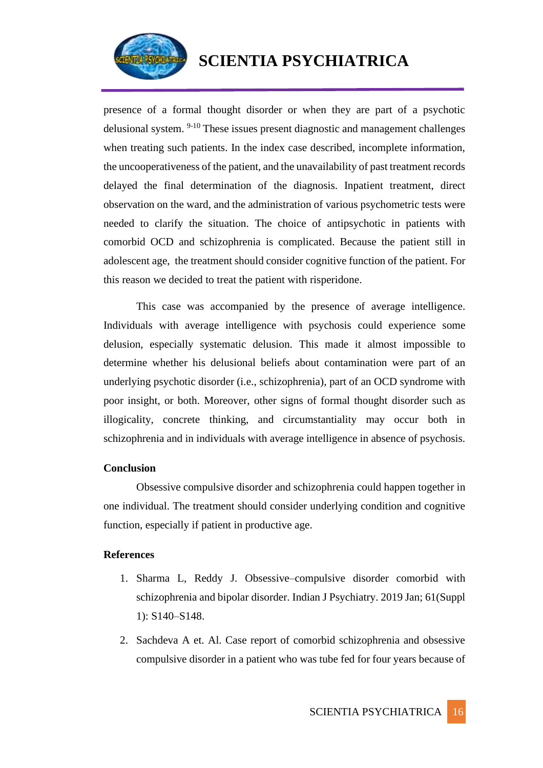

presence of a formal thought disorder or when they are part of a psychotic delusional system.  $9-10$  These issues present diagnostic and management challenges when treating such patients. In the index case described, incomplete information, the uncooperativeness of the patient, and the unavailability of past treatment records delayed the final determination of the diagnosis. Inpatient treatment, direct observation on the ward, and the administration of various psychometric tests were needed to clarify the situation. The choice of antipsychotic in patients with comorbid OCD and schizophrenia is complicated. Because the patient still in adolescent age, the treatment should consider cognitive function of the patient. For this reason we decided to treat the patient with risperidone.

This case was accompanied by the presence of average intelligence. Individuals with average intelligence with psychosis could experience some delusion, especially systematic delusion. This made it almost impossible to determine whether his delusional beliefs about contamination were part of an underlying psychotic disorder (i.e., schizophrenia), part of an OCD syndrome with poor insight, or both. Moreover, other signs of formal thought disorder such as illogicality, concrete thinking, and circumstantiality may occur both in schizophrenia and in individuals with average intelligence in absence of psychosis.

# **Conclusion**

Obsessive compulsive disorder and schizophrenia could happen together in one individual. The treatment should consider underlying condition and cognitive function, especially if patient in productive age.

# **References**

- 1. Sharma L, Reddy J. Obsessive–compulsive disorder comorbid with schizophrenia and bipolar disorder. Indian J Psychiatry. 2019 Jan; 61(Suppl 1): S140–S148.
- 2. Sachdeva A et. Al. Case report of comorbid schizophrenia and obsessive compulsive disorder in a patient who was tube fed for four years because of